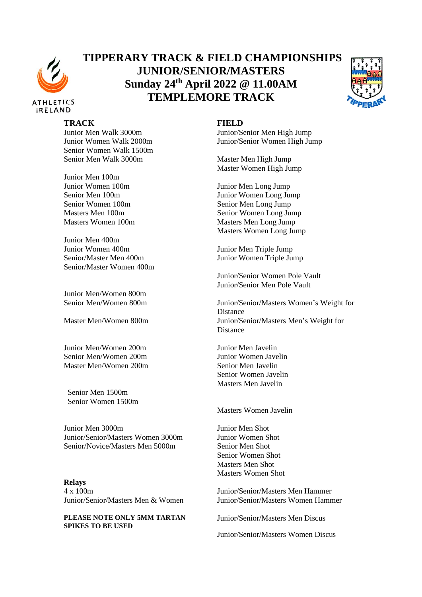

## **TIPPERARY TRACK & FIELD CHAMPIONSHIPS JUNIOR/SENIOR/MASTERS Sunday 24 th April 2022 @ 11.00AM TEMPLEMORE TRACK**



## **TRACK FIELD**

Senior Women Walk 1500m Senior Men Walk 3000m Master Men High Jump

Junior Men 100m Junior Women 100m Junior Men Long Jump

Junior Men 400m Junior Women 400m Junior Men Triple Jump Senior/Master Men 400m Junior Women Triple Jump Senior/Master Women 400m

Junior Men/Women 800m

Junior Men/Women 200m Junior Men Javelin Senior Men/Women 200m Junior Women Javelin Master Men/Women 200m Senior Men Javelin

Senior Men 1500m Senior Women 1500m

Junior Men 3000m Junior Men Shot Junior/Senior/Masters Women 3000m Junior Women Shot Senior/Novice/Masters Men 5000m Senior Men Shot

**Relays** 4 x 100m Junior/Senior/Masters Men Hammer

**PLEASE NOTE ONLY 5MM TARTAN SPIKES TO BE USED**

Junior Men Walk 3000m Junior/Senior Men High Jump Junior Women Walk 2000m Junior/Senior Women High Jump

Master Women High Jump

Senior Men 100m Junior Women Long Jump Senior Women 100m Senior Men Long Jump Masters Men 100m Senior Women Long Jump Masters Women 100m Masters Men Long Jump Masters Women Long Jump

Junior/Senior Women Pole Vault Junior/Senior Men Pole Vault

Senior Men/Women 800m Junior/Senior/Masters Women's Weight for Distance Master Men/Women 800m Junior/Senior/Masters Men's Weight for Distance

> Senior Women Javelin Masters Men Javelin

Masters Women Javelin

Senior Women Shot Masters Men Shot Masters Women Shot

Junior/Senior/Masters Men & Women Junior/Senior/Masters Women Hammer

Junior/Senior/Masters Men Discus

Junior/Senior/Masters Women Discus